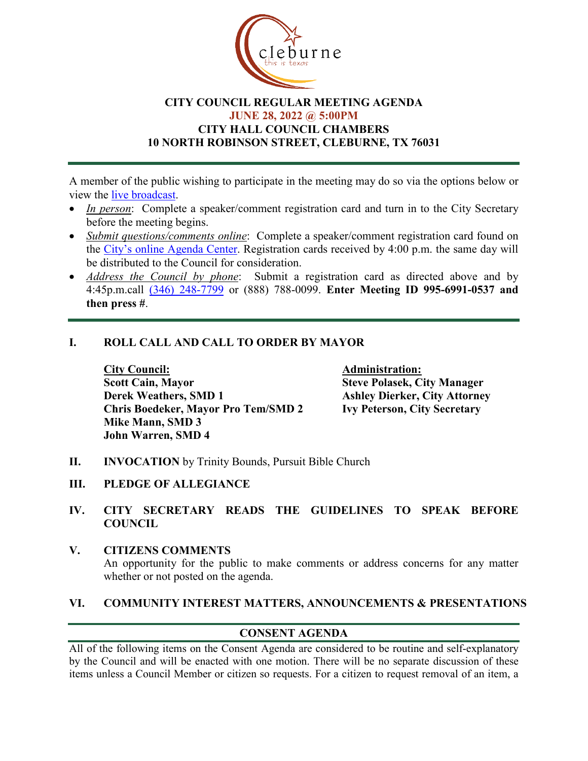

### **CITY COUNCIL REGULAR MEETING AGENDA JUNE 28, 2022 @ 5:00PM CITY HALL COUNCIL CHAMBERS 10 NORTH ROBINSON STREET, CLEBURNE, TX 76031**

A member of the public wishing to participate in the meeting may do so via the options below or view the [live broadcast.](http://www.cleburne.net/925/Cleburne-Live)

- *In person*: Complete a speaker/comment registration card and turn in to the City Secretary before the meeting begins.
- *Submit questions/comments online*: Complete a speaker/comment registration card found on the [City's online Agenda Center.](https://www.cleburne.net/agendacenter) Registration cards received by 4:00 p.m. the same day will be distributed to the Council for consideration.
- *Address the Council by phone*: Submit a registration card as directed above and by 4:45p.m.call [\(346\) 248-7799](tel:+13127573117,,477307821) or (888) 788-0099. **Enter Meeting ID 995-6991-0537 and then press #**.

## **I. ROLL CALL AND CALL TO ORDER BY MAYOR**

**City Council: Administration: Scott Cain, Mayor Steve Polasek, City Manager<br>
Derek Weathers, SMD 1 Ashley Dierker, City Attorne Chris Boedeker, Mayor Pro Tem/SMD 2 Mike Mann, SMD 3 John Warren, SMD 4**

**Ashley Dierker, City Attorney**<br>Ivy Peterson, City Secretary

- **II. INVOCATION** by Trinity Bounds, Pursuit Bible Church
- **III. PLEDGE OF ALLEGIANCE**
- **IV. CITY SECRETARY READS THE GUIDELINES TO SPEAK BEFORE COUNCIL**

#### **V. CITIZENS COMMENTS** An opportunity for the public to make comments or address concerns for any matter whether or not posted on the agenda.

#### **VI. COMMUNITY INTEREST MATTERS, ANNOUNCEMENTS & PRESENTATIONS**

## **CONSENT AGENDA**

All of the following items on the Consent Agenda are considered to be routine and self-explanatory by the Council and will be enacted with one motion. There will be no separate discussion of these items unless a Council Member or citizen so requests. For a citizen to request removal of an item, a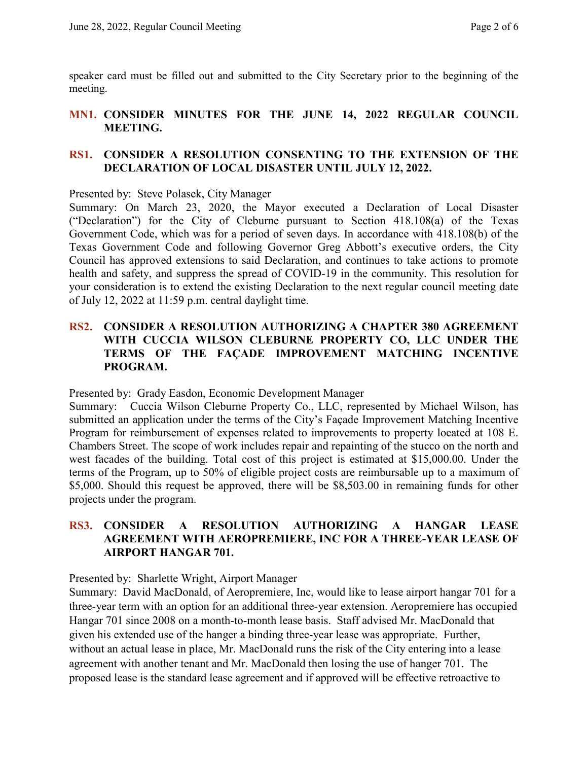speaker card must be filled out and submitted to the City Secretary prior to the beginning of the meeting.

## **MN1. CONSIDER MINUTES FOR THE JUNE 14, 2022 REGULAR COUNCIL MEETING.**

#### **RS1. CONSIDER A RESOLUTION CONSENTING TO THE EXTENSION OF THE DECLARATION OF LOCAL DISASTER UNTIL JULY 12, 2022.**

Presented by: Steve Polasek, City Manager

Summary: On March 23, 2020, the Mayor executed a Declaration of Local Disaster ("Declaration") for the City of Cleburne pursuant to Section 418.108(a) of the Texas Government Code, which was for a period of seven days. In accordance with 418.108(b) of the Texas Government Code and following Governor Greg Abbott's executive orders, the City Council has approved extensions to said Declaration, and continues to take actions to promote health and safety, and suppress the spread of COVID-19 in the community. This resolution for your consideration is to extend the existing Declaration to the next regular council meeting date of July 12, 2022 at 11:59 p.m. central daylight time.

## **RS2. CONSIDER A RESOLUTION AUTHORIZING A CHAPTER 380 AGREEMENT WITH CUCCIA WILSON CLEBURNE PROPERTY CO, LLC UNDER THE TERMS OF THE FAÇADE IMPROVEMENT MATCHING INCENTIVE PROGRAM.**

Presented by: Grady Easdon, Economic Development Manager

Summary: Cuccia Wilson Cleburne Property Co., LLC, represented by Michael Wilson, has submitted an application under the terms of the City's Façade Improvement Matching Incentive Program for reimbursement of expenses related to improvements to property located at 108 E. Chambers Street. The scope of work includes repair and repainting of the stucco on the north and west facades of the building. Total cost of this project is estimated at \$15,000.00. Under the terms of the Program, up to 50% of eligible project costs are reimbursable up to a maximum of \$5,000. Should this request be approved, there will be \$8,503.00 in remaining funds for other projects under the program.

#### **RS3. CONSIDER A RESOLUTION AUTHORIZING A HANGAR LEASE AGREEMENT WITH AEROPREMIERE, INC FOR A THREE-YEAR LEASE OF AIRPORT HANGAR 701.**

#### Presented by: Sharlette Wright, Airport Manager

Summary: David MacDonald, of Aeropremiere, Inc, would like to lease airport hangar 701 for a three-year term with an option for an additional three-year extension. Aeropremiere has occupied Hangar 701 since 2008 on a month-to-month lease basis. Staff advised Mr. MacDonald that given his extended use of the hanger a binding three-year lease was appropriate. Further, without an actual lease in place, Mr. MacDonald runs the risk of the City entering into a lease agreement with another tenant and Mr. MacDonald then losing the use of hanger 701. The proposed lease is the standard lease agreement and if approved will be effective retroactive to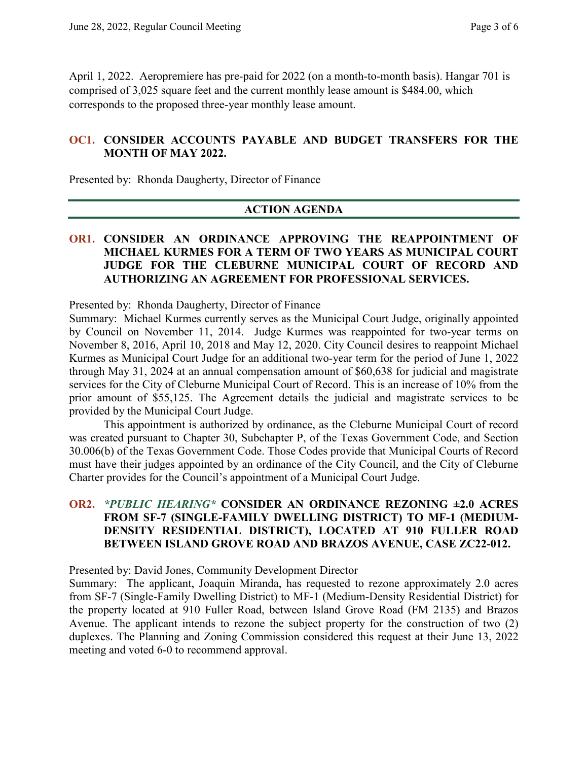April 1, 2022. Aeropremiere has pre-paid for 2022 (on a month-to-month basis). Hangar 701 is comprised of 3,025 square feet and the current monthly lease amount is \$484.00, which corresponds to the proposed three-year monthly lease amount.

#### **OC1. CONSIDER ACCOUNTS PAYABLE AND BUDGET TRANSFERS FOR THE MONTH OF MAY 2022.**

Presented by: Rhonda Daugherty, Director of Finance

#### **ACTION AGENDA**

#### **OR1. CONSIDER AN ORDINANCE APPROVING THE REAPPOINTMENT OF MICHAEL KURMES FOR A TERM OF TWO YEARS AS MUNICIPAL COURT JUDGE FOR THE CLEBURNE MUNICIPAL COURT OF RECORD AND AUTHORIZING AN AGREEMENT FOR PROFESSIONAL SERVICES.**

Presented by: Rhonda Daugherty, Director of Finance

Summary: Michael Kurmes currently serves as the Municipal Court Judge, originally appointed by Council on November 11, 2014. Judge Kurmes was reappointed for two-year terms on November 8, 2016, April 10, 2018 and May 12, 2020. City Council desires to reappoint Michael Kurmes as Municipal Court Judge for an additional two-year term for the period of June 1, 2022 through May 31, 2024 at an annual compensation amount of \$60,638 for judicial and magistrate services for the City of Cleburne Municipal Court of Record. This is an increase of 10% from the prior amount of \$55,125. The Agreement details the judicial and magistrate services to be provided by the Municipal Court Judge.

This appointment is authorized by ordinance, as the Cleburne Municipal Court of record was created pursuant to Chapter 30, Subchapter P, of the Texas Government Code, and Section 30.006(b) of the Texas Government Code. Those Codes provide that Municipal Courts of Record must have their judges appointed by an ordinance of the City Council, and the City of Cleburne Charter provides for the Council's appointment of a Municipal Court Judge.

### **OR2.** *\*PUBLIC HEARING\** **CONSIDER AN ORDINANCE REZONING ±2.0 ACRES FROM SF-7 (SINGLE-FAMILY DWELLING DISTRICT) TO MF-1 (MEDIUM-DENSITY RESIDENTIAL DISTRICT), LOCATED AT 910 FULLER ROAD BETWEEN ISLAND GROVE ROAD AND BRAZOS AVENUE, CASE ZC22-012.**

Presented by: David Jones, Community Development Director

Summary: The applicant, Joaquin Miranda, has requested to rezone approximately 2.0 acres from SF-7 (Single-Family Dwelling District) to MF-1 (Medium-Density Residential District) for the property located at 910 Fuller Road, between Island Grove Road (FM 2135) and Brazos Avenue. The applicant intends to rezone the subject property for the construction of two (2) duplexes. The Planning and Zoning Commission considered this request at their June 13, 2022 meeting and voted 6-0 to recommend approval.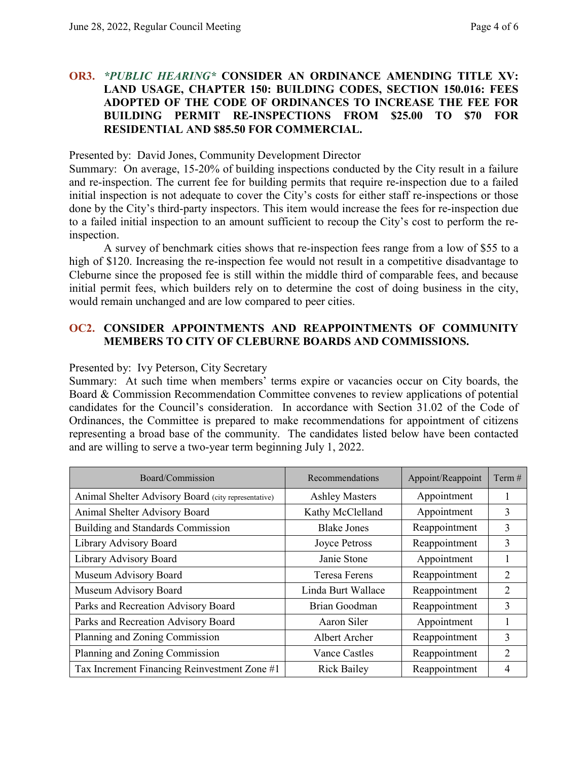### **OR3.** *\*PUBLIC HEARING\** **CONSIDER AN ORDINANCE AMENDING TITLE XV: LAND USAGE, CHAPTER 150: BUILDING CODES, SECTION 150.016: FEES ADOPTED OF THE CODE OF ORDINANCES TO INCREASE THE FEE FOR BUILDING PERMIT RE-INSPECTIONS FROM \$25.00 TO \$70 FOR RESIDENTIAL AND \$85.50 FOR COMMERCIAL.**

Presented by: David Jones, Community Development Director

Summary: On average, 15-20% of building inspections conducted by the City result in a failure and re-inspection. The current fee for building permits that require re-inspection due to a failed initial inspection is not adequate to cover the City's costs for either staff re-inspections or those done by the City's third-party inspectors. This item would increase the fees for re-inspection due to a failed initial inspection to an amount sufficient to recoup the City's cost to perform the reinspection.

A survey of benchmark cities shows that re-inspection fees range from a low of \$55 to a high of \$120. Increasing the re-inspection fee would not result in a competitive disadvantage to Cleburne since the proposed fee is still within the middle third of comparable fees, and because initial permit fees, which builders rely on to determine the cost of doing business in the city, would remain unchanged and are low compared to peer cities.

## **OC2. CONSIDER APPOINTMENTS AND REAPPOINTMENTS OF COMMUNITY MEMBERS TO CITY OF CLEBURNE BOARDS AND COMMISSIONS.**

#### Presented by: Ivy Peterson, City Secretary

Summary: At such time when members' terms expire or vacancies occur on City boards, the Board & Commission Recommendation Committee convenes to review applications of potential candidates for the Council's consideration. In accordance with Section 31.02 of the Code of Ordinances, the Committee is prepared to make recommendations for appointment of citizens representing a broad base of the community. The candidates listed below have been contacted and are willing to serve a two-year term beginning July 1, 2022.

| Board/Commission                                    | Recommendations<br>Appoint/Reappoint  |               | Term $#$       |
|-----------------------------------------------------|---------------------------------------|---------------|----------------|
| Animal Shelter Advisory Board (city representative) | <b>Ashley Masters</b><br>Appointment  |               | 1              |
| Animal Shelter Advisory Board                       | Appointment<br>Kathy McClelland       |               | 3              |
| Building and Standards Commission                   | <b>Blake Jones</b><br>Reappointment   |               | 3              |
| Library Advisory Board                              | Reappointment<br><b>Joyce Petross</b> |               | 3              |
| Library Advisory Board                              | Appointment<br>Janie Stone            |               | 1              |
| Museum Advisory Board                               | <b>Teresa Ferens</b>                  | Reappointment | 2              |
| Museum Advisory Board                               | Reappointment<br>Linda Burt Wallace   |               | $\overline{2}$ |
| Parks and Recreation Advisory Board                 | Reappointment<br>Brian Goodman        |               | 3              |
| Parks and Recreation Advisory Board                 | Appointment<br>Aaron Siler            |               | 1              |
| Planning and Zoning Commission                      | Albert Archer                         | Reappointment | 3              |
| Planning and Zoning Commission                      | <b>Vance Castles</b>                  | Reappointment | $\overline{2}$ |
| Tax Increment Financing Reinvestment Zone #1        | <b>Rick Bailey</b>                    | Reappointment | 4              |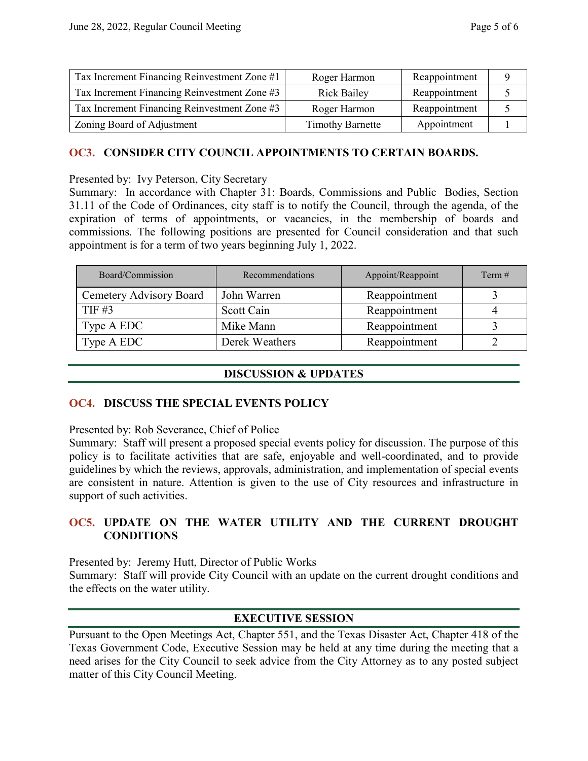| Tax Increment Financing Reinvestment Zone #1 | Roger Harmon            | Reappointment |  |
|----------------------------------------------|-------------------------|---------------|--|
| Tax Increment Financing Reinvestment Zone #3 | <b>Rick Bailey</b>      | Reappointment |  |
| Tax Increment Financing Reinvestment Zone #3 | Roger Harmon            | Reappointment |  |
| Zoning Board of Adjustment                   | <b>Timothy Barnette</b> | Appointment   |  |

#### **OC3. CONSIDER CITY COUNCIL APPOINTMENTS TO CERTAIN BOARDS.**

Presented by: Ivy Peterson, City Secretary

Summary: In accordance with Chapter 31: Boards, Commissions and Public Bodies, Section 31.11 of the Code of Ordinances, city staff is to notify the Council, through the agenda, of the expiration of terms of appointments, or vacancies, in the membership of boards and commissions. The following positions are presented for Council consideration and that such appointment is for a term of two years beginning July 1, 2022.

| Board/Commission        | <b>Recommendations</b> | Appoint/Reappoint | Term $#$ |
|-------------------------|------------------------|-------------------|----------|
| Cemetery Advisory Board | John Warren            | Reappointment     |          |
| $TIF \#3$               | Scott Cain             | Reappointment     |          |
| Type A EDC              | Mike Mann              | Reappointment     |          |
| Type A EDC              | Derek Weathers         | Reappointment     |          |

#### **DISCUSSION & UPDATES**

#### **OC4. DISCUSS THE SPECIAL EVENTS POLICY**

Presented by: Rob Severance, Chief of Police

Summary: Staff will present a proposed special events policy for discussion. The purpose of this policy is to facilitate activities that are safe, enjoyable and well-coordinated, and to provide guidelines by which the reviews, approvals, administration, and implementation of special events are consistent in nature. Attention is given to the use of City resources and infrastructure in support of such activities.

## **OC5. UPDATE ON THE WATER UTILITY AND THE CURRENT DROUGHT CONDITIONS**

Presented by: Jeremy Hutt, Director of Public Works

Summary: Staff will provide City Council with an update on the current drought conditions and the effects on the water utility.

## **EXECUTIVE SESSION**

Pursuant to the Open Meetings Act, Chapter 551, and the Texas Disaster Act, Chapter 418 of the Texas Government Code, Executive Session may be held at any time during the meeting that a need arises for the City Council to seek advice from the City Attorney as to any posted subject matter of this City Council Meeting.